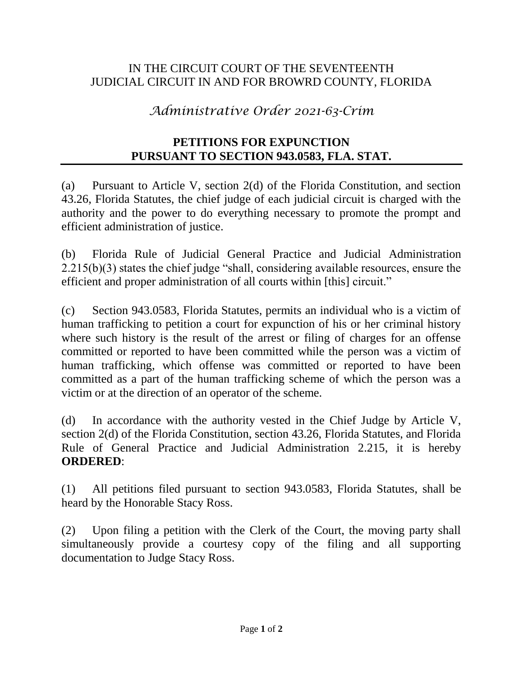## IN THE CIRCUIT COURT OF THE SEVENTEENTH JUDICIAL CIRCUIT IN AND FOR BROWRD COUNTY, FLORIDA

## *Administrative Order 2021-63-Crim*

## **PETITIONS FOR EXPUNCTION PURSUANT TO SECTION 943.0583, FLA. STAT.**

(a) Pursuant to Article V, section 2(d) of the Florida Constitution, and section 43.26, Florida Statutes, the chief judge of each judicial circuit is charged with the authority and the power to do everything necessary to promote the prompt and efficient administration of justice.

(b) Florida Rule of Judicial General Practice and Judicial Administration 2.215(b)(3) states the chief judge "shall, considering available resources, ensure the efficient and proper administration of all courts within [this] circuit."

(c) Section 943.0583, Florida Statutes, permits an individual who is a victim of human trafficking to petition a court for expunction of his or her criminal history where such history is the result of the arrest or filing of charges for an offense committed or reported to have been committed while the person was a victim of human trafficking, which offense was committed or reported to have been committed as a part of the human trafficking scheme of which the person was a victim or at the direction of an operator of the scheme.

(d) In accordance with the authority vested in the Chief Judge by Article V, section 2(d) of the Florida Constitution, section 43.26, Florida Statutes, and Florida Rule of General Practice and Judicial Administration 2.215, it is hereby **ORDERED**:

(1) All petitions filed pursuant to section 943.0583, Florida Statutes, shall be heard by the Honorable Stacy Ross.

(2) Upon filing a petition with the Clerk of the Court, the moving party shall simultaneously provide a courtesy copy of the filing and all supporting documentation to Judge Stacy Ross.